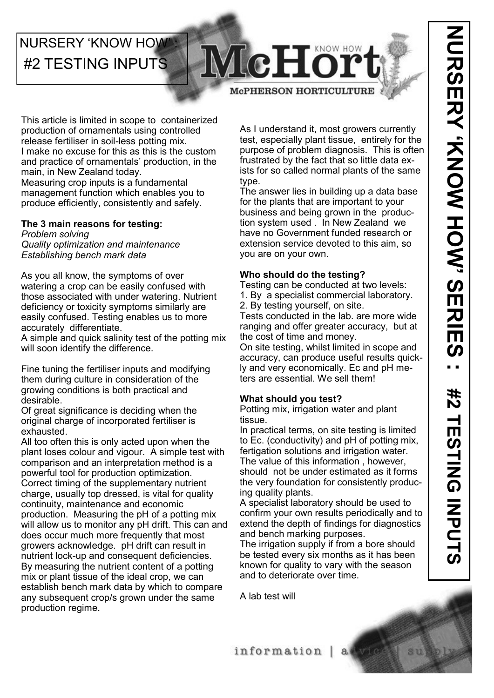# **NURSERY 'KNOW HOW** #2 TESTING INPUTS

# McH **McPHERSON HORTICULTURE**

This article is limited in scope to containerized production of ornamentals using controlled release fertiliser in soil-less potting mix. I make no excuse for this as this is the custom and practice of ornamentals' production, in the main, in New Zealand today. Measuring crop inputs is a fundamental management function which enables you to produce efficiently, consistently and safely.

### **The 3 main reasons for testing:**

*Problem solving Quality optimization and maintenance Establishing bench mark data*

As you all know, the symptoms of over watering a crop can be easily confused with those associated with under watering. Nutrient deficiency or toxicity symptoms similarly are easily confused. Testing enables us to more accurately differentiate.

A simple and quick salinity test of the potting mix will soon identify the difference.

Fine tuning the fertiliser inputs and modifying them during culture in consideration of the growing conditions is both practical and desirable.

Of great significance is deciding when the original charge of incorporated fertiliser is exhausted.

All too often this is only acted upon when the plant loses colour and vigour. A simple test with comparison and an interpretation method is a powerful tool for production optimization. Correct timing of the supplementary nutrient charge, usually top dressed, is vital for quality continuity, maintenance and economic production. Measuring the pH of a potting mix will allow us to monitor any pH drift. This can and does occur much more frequently that most growers acknowledge. pH drift can result in nutrient lock-up and consequent deficiencies. By measuring the nutrient content of a potting mix or plant tissue of the ideal crop, we can establish bench mark data by which to compare any subsequent crop/s grown under the same production regime.

As I understand it, most growers currently test, especially plant tissue, entirely for the purpose of problem diagnosis. This is often frustrated by the fact that so little data exists for so called normal plants of the same type.

The answer lies in building up a data base for the plants that are important to your business and being grown in the production system used . In New Zealand we have no Government funded research or extension service devoted to this aim, so you are on your own.

### **Who should do the testing?**

Testing can be conducted at two levels:

- 1. By a specialist commercial laboratory.
- 2. By testing yourself, on site.

Tests conducted in the lab. are more wide ranging and offer greater accuracy, but at the cost of time and money.

On site testing, whilst limited in scope and accuracy, can produce useful results quickly and very economically. Ec and pH meters are essential. We sell them!

### **What should you test?**

Potting mix, irrigation water and plant tissue.

In practical terms, on site testing is limited to Ec. (conductivity) and pH of potting mix, fertigation solutions and irrigation water. The value of this information , however, should not be under estimated as it forms the very foundation for consistently producing quality plants.

A specialist laboratory should be used to confirm your own results periodically and to extend the depth of findings for diagnostics and bench marking purposes.

The irrigation supply if from a bore should be tested every six months as it has been known for quality to vary with the season and to deteriorate over time.

A lab test will

information |  $a$